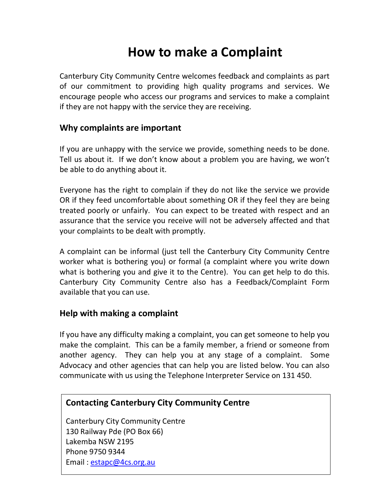# How to make a Complaint

Canterbury City Community Centre welcomes feedback and complaints as part of our commitment to providing high quality programs and services. We encourage people who access our programs and services to make a complaint if they are not happy with the service they are receiving.

### Why complaints are important

If you are unhappy with the service we provide, something needs to be done. Tell us about it. If we don't know about a problem you are having, we won't be able to do anything about it.

Everyone has the right to complain if they do not like the service we provide OR if they feed uncomfortable about something OR if they feel they are being treated poorly or unfairly. You can expect to be treated with respect and an assurance that the service you receive will not be adversely affected and that your complaints to be dealt with promptly.

A complaint can be informal (just tell the Canterbury City Community Centre worker what is bothering you) or formal (a complaint where you write down what is bothering you and give it to the Centre). You can get help to do this. Canterbury City Community Centre also has a Feedback/Complaint Form available that you can use.

### Help with making a complaint

If you have any difficulty making a complaint, you can get someone to help you make the complaint. This can be a family member, a friend or someone from another agency. They can help you at any stage of a complaint. Some Advocacy and other agencies that can help you are listed below. You can also communicate with us using the Telephone Interpreter Service on 131 450.

# Contacting Canterbury City Community Centre

Canterbury City Community Centre 130 Railway Pde (PO Box 66) Lakemba NSW 2195 Phone 9750 9344 Email : estapc@4cs.org.au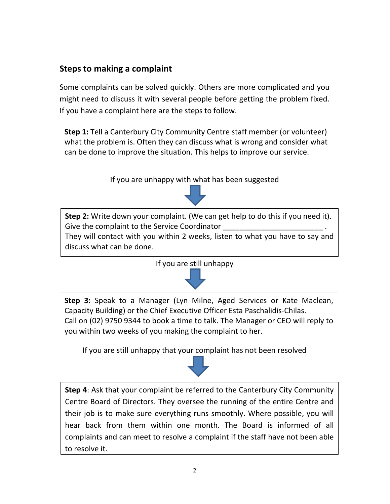# Steps to making a complaint

Some complaints can be solved quickly. Others are more complicated and you might need to discuss it with several people before getting the problem fixed. If you have a complaint here are the steps to follow.

Step 1: Tell a Canterbury City Community Centre staff member (or volunteer) what the problem is. Often they can discuss what is wrong and consider what can be done to improve the situation. This helps to improve our service.

If you are unhappy with what has been suggested



Step 2: Write down your complaint. (We can get help to do this if you need it). Give the complaint to the Service Coordinator

They will contact with you within 2 weeks, listen to what you have to say and discuss what can be done.





Step 3: Speak to a Manager (Lyn Milne, Aged Services or Kate Maclean, Capacity Building) or the Chief Executive Officer Esta Paschalidis-Chilas. Call on (02) 9750 9344 to book a time to talk. The Manager or CEO will reply to you within two weeks of you making the complaint to her.

If you are still unhappy that your complaint has not been resolved

Step 4: Ask that your complaint be referred to the Canterbury City Community Centre Board of Directors. They oversee the running of the entire Centre and their job is to make sure everything runs smoothly. Where possible, you will hear back from them within one month. The Board is informed of all complaints and can meet to resolve a complaint if the staff have not been able to resolve it.